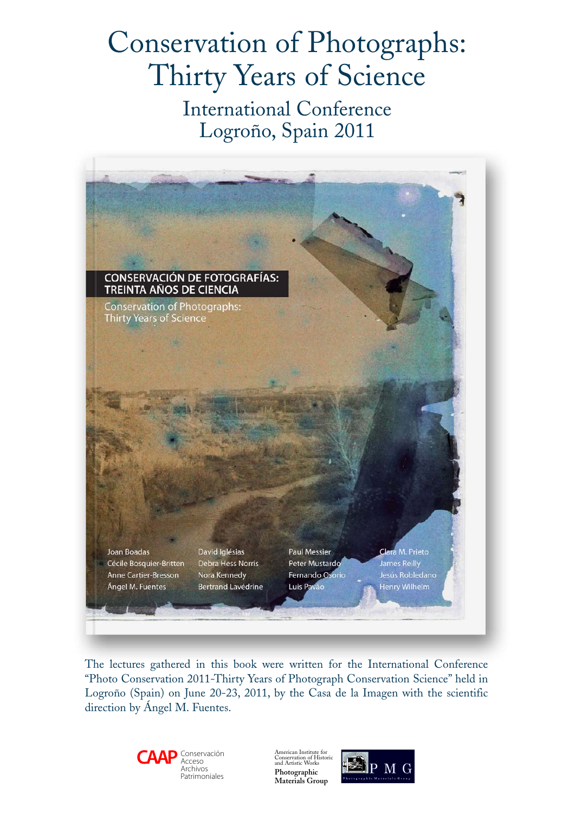# Conservation of Photographs: Thirty Years of Science

International Conference Logroño, Spain 2011



The lectures gathered in this book were written for the International Conference "Photo Conservation 2011-Thirty Years of Photograph Conservation Science" held in Logroño (Spain) on June 20-23, 2011, by the Casa de la Imagen with the scientific direction by Ángel M. Fuentes.



American Institute for Conservation of Historic and Artistic Works **Photographic Materials Group**